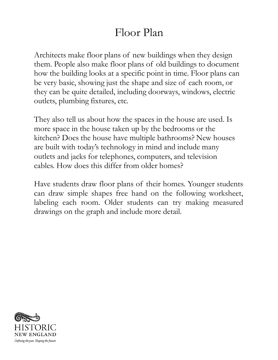## Floor Plan

Architects make floor plans of new buildings when they design them. People also make floor plans of old buildings to document how the building looks at a specific point in time. Floor plans can be very basic, showing just the shape and size of each room, or they can be quite detailed, including doorways, windows, electric outlets, plumbing fixtures, etc.

They also tell us about how the spaces in the house are used. Is more space in the house taken up by the bedrooms or the kitchen? Does the house have multiple bathrooms? New houses are built with today 's technology in mind and include many outlets and jacks for telephones, computers, and television cables. How does this differ from older homes?

Have students draw floor plans of their homes. Younger students can draw simple shapes free hand on the following worksheet, labeling each room. Older students can try making measured drawings on the graph and include more detail.

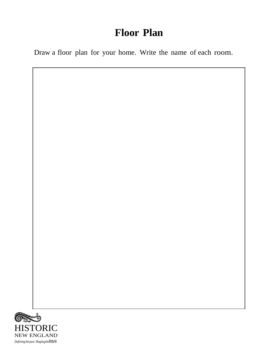## **Floor Plan**

Draw a floor plan for your home. Write the name of each room.